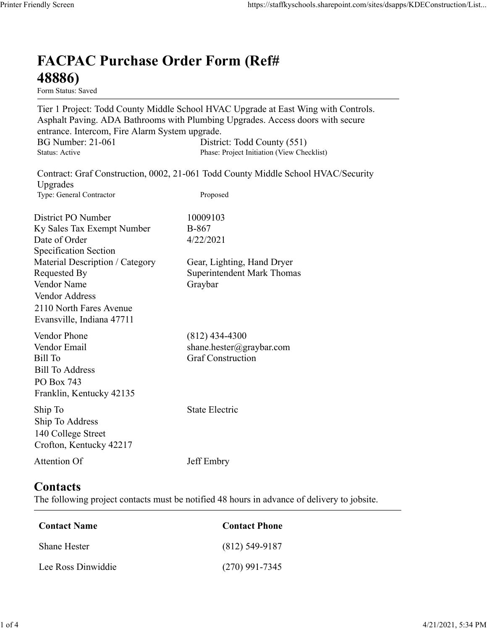## FACPAC Purchase Order Form (Ref# 48886)

Tier 1 Project: Todd County Middle School HVAC Upgrade at East Wing with Controls. Asphalt Paving. ADA Bathrooms with Plumbing Upgrades. Access doors with secure entrance. Intercom, Fire Alarm System upgrade. https://staffkyschools.sharepoint.com/sites/dsapps/KDEConstructic<br> **FACPAC Purchase Order Form (Ref#**<br>
H8886)<br>
Form Status: Saved<br>
Tier 1 Project: Todd County Middle School HVAC Upgrade at East Wing with Controls.<br>
Asphalt https://staffkyschools.sharepoint.com/sites/dsapps/KDEConstructic<br> **FACPAC Purchase Order Form (Ref#**<br>
Form Status: Saved<br>
Form Status: Saved<br>
Tier 1 Project: Todd County Middle School HVAC Upgrade at East Wing with Contro May Screen<br>
Intps://staffkyschools.sharepoint.com/sites/dsarps/KDFConstructic<br>
Term Status: Saved<br>
Form Status: Saved<br>
Form Status: Saved<br>
Form Status: Saved<br>
Term Project: Todd County Middle School HVAC Upgrade at East Wi FACPAC Purchase Order Form (Ref#<br>
48886)<br>
Form Status: Saved<br>
Tier 1 Project: Todd County Middle School HVAC Upgrade at East Wing with Controls.<br>
Asphalt Paving. ADA Bathrooms with Plumbing Upgrades. Access doors with secu **FACPAC Purchase Order Form (Ref#**<br> **48886)**<br>
Form States Saved<br>
Form States Saved<br>
Teroject: Todd County Middle School HVAC Upgrade at East Wing with Controls.<br>
Asphalt Paving. ADA Bathrooms with Plumbing Upgrades.<br>
Acce FACPAC Purchase Order Form (Ref#<br>
48886)<br>
Form Status: Saved<br>
Tier 1 Project: Todd County Middle School HVAC Upgrade at East Wing with Controls.<br>
Asphalt Paving. ADA Bathrooms with Plumbing Upgrades. Access doors with secu

|                                                | Tier 1 Project: Todd County Middle School HVAC Upgrade at East Wing with Controls.<br>Asphalt Paving. ADA Bathrooms with Plumbing Upgrades. Access doors with secure |
|------------------------------------------------|----------------------------------------------------------------------------------------------------------------------------------------------------------------------|
| entrance. Intercom, Fire Alarm System upgrade. |                                                                                                                                                                      |
| <b>BG Number: 21-061</b><br>Status: Active     | District: Todd County (551)<br>Phase: Project Initiation (View Checklist)                                                                                            |
| Upgrades                                       | Contract: Graf Construction, 0002, 21-061 Todd County Middle School HVAC/Security                                                                                    |
| Type: General Contractor                       | Proposed                                                                                                                                                             |
| District PO Number                             | 10009103                                                                                                                                                             |
| Ky Sales Tax Exempt Number                     | <b>B-867</b>                                                                                                                                                         |
| Date of Order                                  | 4/22/2021                                                                                                                                                            |
| <b>Specification Section</b>                   |                                                                                                                                                                      |
| Material Description / Category                | Gear, Lighting, Hand Dryer                                                                                                                                           |
| Requested By<br><b>Vendor Name</b>             | <b>Superintendent Mark Thomas</b><br>Graybar                                                                                                                         |
| Vendor Address                                 |                                                                                                                                                                      |
| 2110 North Fares Avenue                        |                                                                                                                                                                      |
| Evansville, Indiana 47711                      |                                                                                                                                                                      |
|                                                |                                                                                                                                                                      |
| Vendor Phone                                   | $(812)$ 434-4300                                                                                                                                                     |
| Vendor Email<br>Bill To                        | shane.hester@graybar.com<br><b>Graf Construction</b>                                                                                                                 |
| <b>Bill To Address</b>                         |                                                                                                                                                                      |
| PO Box 743                                     |                                                                                                                                                                      |
| Franklin, Kentucky 42135                       |                                                                                                                                                                      |
| Ship To                                        | State Electric                                                                                                                                                       |
| Ship To Address                                |                                                                                                                                                                      |
| 140 College Street                             |                                                                                                                                                                      |
| Crofton, Kentucky 42217                        |                                                                                                                                                                      |
| Attention Of                                   | Jeff Embry                                                                                                                                                           |
|                                                |                                                                                                                                                                      |
| Contacts                                       |                                                                                                                                                                      |
|                                                | The following project contacts must be notified 48 hours in advance of delivery to jobsite.                                                                          |
| <b>Contact Name</b>                            | <b>Contact Phone</b>                                                                                                                                                 |
| Shane Hester                                   | $(812)$ 549-9187                                                                                                                                                     |
| Lee Ross Dinwiddie                             | $(270)$ 991-7345                                                                                                                                                     |

## **Contacts**

| <b>Bill To Address</b><br>PO Box 743<br>Franklin, Kentucky 42135            |                                                                                             |  |
|-----------------------------------------------------------------------------|---------------------------------------------------------------------------------------------|--|
| Ship To<br>Ship To Address<br>140 College Street<br>Crofton, Kentucky 42217 | <b>State Electric</b>                                                                       |  |
| Attention Of                                                                | Jeff Embry                                                                                  |  |
| Contacts                                                                    | The following project contacts must be notified 48 hours in advance of delivery to jobsite. |  |
| <b>Contact Name</b>                                                         | <b>Contact Phone</b>                                                                        |  |
| Shane Hester                                                                | $(812)$ 549-9187                                                                            |  |
| Lee Ross Dinwiddie                                                          | $(270)$ 991-7345                                                                            |  |
|                                                                             |                                                                                             |  |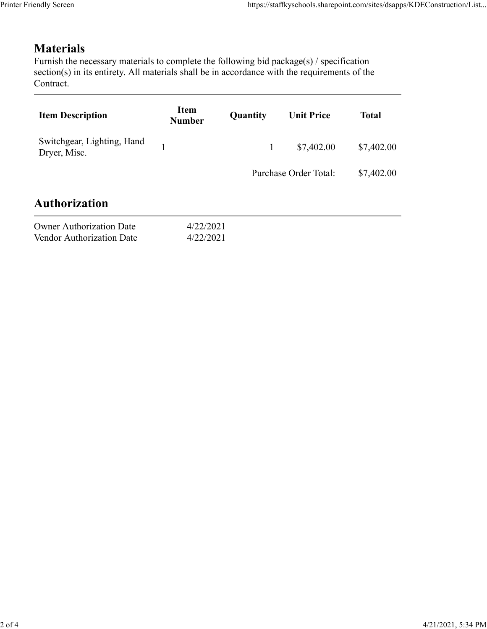## Materials

| endly Screen                                                                                                                                                                                                               |                              |              | https://staffkyschools.sharepoint.com/sites/dsapps/KDEConstruction/List |              |
|----------------------------------------------------------------------------------------------------------------------------------------------------------------------------------------------------------------------------|------------------------------|--------------|-------------------------------------------------------------------------|--------------|
| <b>Materials</b><br>Furnish the necessary materials to complete the following bid package(s) / specification<br>section(s) in its entirety. All materials shall be in accordance with the requirements of the<br>Contract. |                              |              |                                                                         |              |
| <b>Item Description</b>                                                                                                                                                                                                    | <b>Item</b><br><b>Number</b> | Quantity     | <b>Unit Price</b>                                                       | <b>Total</b> |
| Switchgear, Lighting, Hand<br>Dryer, Misc.                                                                                                                                                                                 | $\mathbf{1}$                 | $\mathbf{1}$ | \$7,402.00                                                              | \$7,402.00   |
|                                                                                                                                                                                                                            |                              |              | Purchase Order Total:                                                   | \$7,402.00   |
| <b>Authorization</b>                                                                                                                                                                                                       |                              |              |                                                                         |              |
| <b>Owner Authorization Date</b><br>Vendor Authorization Date                                                                                                                                                               | 4/22/2021<br>4/22/2021       |              |                                                                         |              |
|                                                                                                                                                                                                                            |                              |              |                                                                         |              |

| <b>Owner Authorization Date</b> | 4/22/202 |
|---------------------------------|----------|
| Vendor Authorization Date       | 4/22/202 |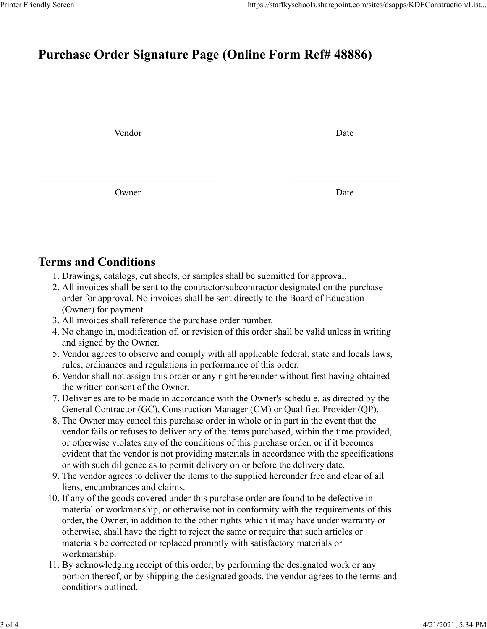|                                                                                                                                                                                                                                                                                                                                                                                                                                                                                  | Printer Friendly Screen<br>https://staffkyschools.sharepoint.com/sites/dsapps/KDEConstruction/List<br>Purchase Order Signature Page (Online Form Ref# 48886) |  |  |  |  |
|----------------------------------------------------------------------------------------------------------------------------------------------------------------------------------------------------------------------------------------------------------------------------------------------------------------------------------------------------------------------------------------------------------------------------------------------------------------------------------|--------------------------------------------------------------------------------------------------------------------------------------------------------------|--|--|--|--|
|                                                                                                                                                                                                                                                                                                                                                                                                                                                                                  |                                                                                                                                                              |  |  |  |  |
| Vendor                                                                                                                                                                                                                                                                                                                                                                                                                                                                           | Date                                                                                                                                                         |  |  |  |  |
| Owner                                                                                                                                                                                                                                                                                                                                                                                                                                                                            | Date                                                                                                                                                         |  |  |  |  |
| <b>Terms and Conditions</b>                                                                                                                                                                                                                                                                                                                                                                                                                                                      |                                                                                                                                                              |  |  |  |  |
| 1. Drawings, catalogs, cut sheets, or samples shall be submitted for approval.<br>2. All invoices shall be sent to the contractor/subcontractor designated on the purchase<br>order for approval. No invoices shall be sent directly to the Board of Education<br>(Owner) for payment.<br>3. All invoices shall reference the purchase order number.                                                                                                                             |                                                                                                                                                              |  |  |  |  |
| 4. No change in, modification of, or revision of this order shall be valid unless in writing<br>and signed by the Owner.<br>5. Vendor agrees to observe and comply with all applicable federal, state and locals laws,<br>rules, ordinances and regulations in performance of this order.                                                                                                                                                                                        |                                                                                                                                                              |  |  |  |  |
| 6. Vendor shall not assign this order or any right hereunder without first having obtained<br>the written consent of the Owner.<br>7. Deliveries are to be made in accordance with the Owner's schedule, as directed by the<br>General Contractor (GC), Construction Manager (CM) or Qualified Provider (QP).<br>8. The Owner may cancel this purchase order in whole or in part in the event that the                                                                           |                                                                                                                                                              |  |  |  |  |
| vendor fails or refuses to deliver any of the items purchased, within the time provided,<br>or otherwise violates any of the conditions of this purchase order, or if it becomes<br>evident that the vendor is not providing materials in accordance with the specifications<br>or with such diligence as to permit delivery on or before the delivery date.<br>9. The vendor agrees to deliver the items to the supplied hereunder free and clear of all                        |                                                                                                                                                              |  |  |  |  |
| liens, encumbrances and claims.<br>10. If any of the goods covered under this purchase order are found to be defective in<br>material or workmanship, or otherwise not in conformity with the requirements of this<br>order, the Owner, in addition to the other rights which it may have under warranty or<br>otherwise, shall have the right to reject the same or require that such articles or<br>materials be corrected or replaced promptly with satisfactory materials or |                                                                                                                                                              |  |  |  |  |
| workmanship.<br>11. By acknowledging receipt of this order, by performing the designated work or any<br>portion thereof, or by shipping the designated goods, the vendor agrees to the terms and                                                                                                                                                                                                                                                                                 |                                                                                                                                                              |  |  |  |  |